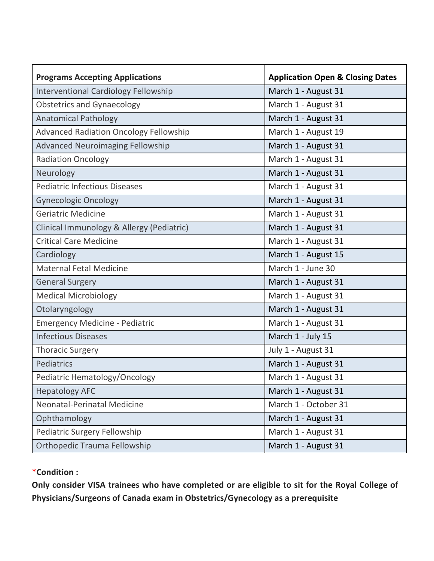| <b>Programs Accepting Applications</b>        | <b>Application Open &amp; Closing Dates</b> |
|-----------------------------------------------|---------------------------------------------|
| <b>Interventional Cardiology Fellowship</b>   | March 1 - August 31                         |
| <b>Obstetrics and Gynaecology</b>             | March 1 - August 31                         |
| <b>Anatomical Pathology</b>                   | March 1 - August 31                         |
| <b>Advanced Radiation Oncology Fellowship</b> | March 1 - August 19                         |
| <b>Advanced Neuroimaging Fellowship</b>       | March 1 - August 31                         |
| <b>Radiation Oncology</b>                     | March 1 - August 31                         |
| Neurology                                     | March 1 - August 31                         |
| <b>Pediatric Infectious Diseases</b>          | March 1 - August 31                         |
| <b>Gynecologic Oncology</b>                   | March 1 - August 31                         |
| <b>Geriatric Medicine</b>                     | March 1 - August 31                         |
| Clinical Immunology & Allergy (Pediatric)     | March 1 - August 31                         |
| <b>Critical Care Medicine</b>                 | March 1 - August 31                         |
| Cardiology                                    | March 1 - August 15                         |
| <b>Maternal Fetal Medicine</b>                | March 1 - June 30                           |
| <b>General Surgery</b>                        | March 1 - August 31                         |
| <b>Medical Microbiology</b>                   | March 1 - August 31                         |
| Otolaryngology                                | March 1 - August 31                         |
| <b>Emergency Medicine - Pediatric</b>         | March 1 - August 31                         |
| <b>Infectious Diseases</b>                    | March 1 - July 15                           |
| <b>Thoracic Surgery</b>                       | July 1 - August 31                          |
| Pediatrics                                    | March 1 - August 31                         |
| Pediatric Hematology/Oncology                 | March 1 - August 31                         |
| <b>Hepatology AFC</b>                         | March 1 - August 31                         |
| Neonatal-Perinatal Medicine                   | March 1 - October 31                        |
| Ophthamology                                  | March 1 - August 31                         |
| Pediatric Surgery Fellowship                  | March 1 - August 31                         |
| Orthopedic Trauma Fellowship                  | March 1 - August 31                         |

## \***Condition :**

**Only consider VISA trainees who have completed or are eligible to sit for the Royal College of Physicians/Surgeons of Canada exam in Obstetrics/Gynecology as a prerequisite**